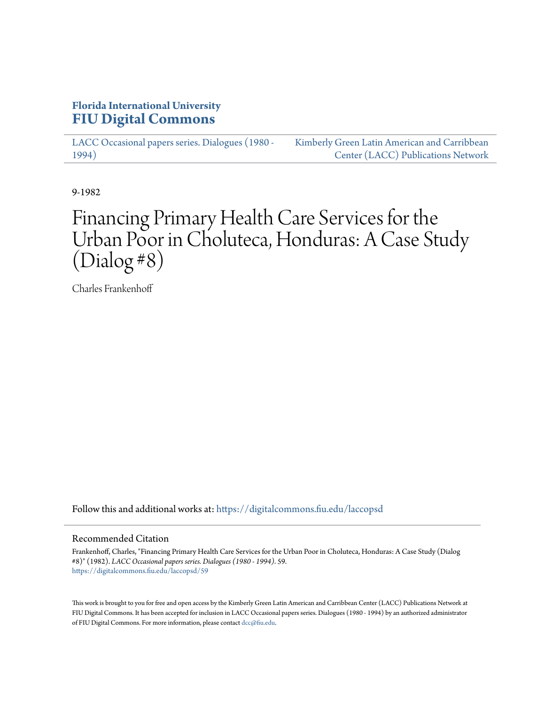## **Florida International University [FIU Digital Commons](https://digitalcommons.fiu.edu?utm_source=digitalcommons.fiu.edu%2Flaccopsd%2F59&utm_medium=PDF&utm_campaign=PDFCoverPages)**

[LACC Occasional papers series. Dialogues \(1980 -](https://digitalcommons.fiu.edu/laccopsd?utm_source=digitalcommons.fiu.edu%2Flaccopsd%2F59&utm_medium=PDF&utm_campaign=PDFCoverPages) [1994\)](https://digitalcommons.fiu.edu/laccopsd?utm_source=digitalcommons.fiu.edu%2Flaccopsd%2F59&utm_medium=PDF&utm_campaign=PDFCoverPages)

[Kimberly Green Latin American and Carribbean](https://digitalcommons.fiu.edu/laccp?utm_source=digitalcommons.fiu.edu%2Flaccopsd%2F59&utm_medium=PDF&utm_campaign=PDFCoverPages) [Center \(LACC\) Publications Network](https://digitalcommons.fiu.edu/laccp?utm_source=digitalcommons.fiu.edu%2Flaccopsd%2F59&utm_medium=PDF&utm_campaign=PDFCoverPages)

9-1982

# Financing Primary Health Care Services for the Urban Poor in Choluteca, Honduras: A Case Study (Dialog #8)

Charles Frankenhoff

Follow this and additional works at: [https://digitalcommons.fiu.edu/laccopsd](https://digitalcommons.fiu.edu/laccopsd?utm_source=digitalcommons.fiu.edu%2Flaccopsd%2F59&utm_medium=PDF&utm_campaign=PDFCoverPages)

#### Recommended Citation

Frankenhoff, Charles, "Financing Primary Health Care Services for the Urban Poor in Choluteca, Honduras: A Case Study (Dialog #8)" (1982). *LACC Occasional papers series. Dialogues (1980 - 1994)*. 59. [https://digitalcommons.fiu.edu/laccopsd/59](https://digitalcommons.fiu.edu/laccopsd/59?utm_source=digitalcommons.fiu.edu%2Flaccopsd%2F59&utm_medium=PDF&utm_campaign=PDFCoverPages)

This work is brought to you for free and open access by the Kimberly Green Latin American and Carribbean Center (LACC) Publications Network at FIU Digital Commons. It has been accepted for inclusion in LACC Occasional papers series. Dialogues (1980 - 1994) by an authorized administrator of FIU Digital Commons. For more information, please contact [dcc@fiu.edu](mailto:dcc@fiu.edu).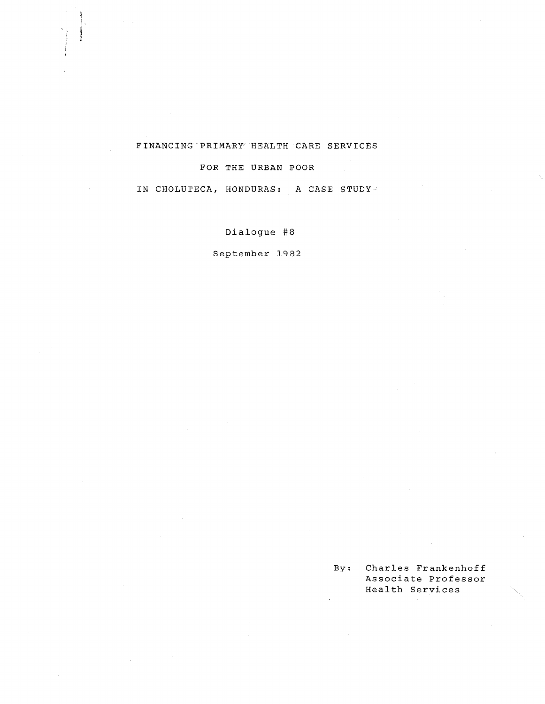### **FINANCING PRIMARY HEALTH CARE SERVICES**

#### **FOR THE URBAN POOR**

**IN CHOLUTECA, HONDURAS: A CASE STUDY** 

**Dialogue** #8

**September 1982** 

**By: Charles Frankenhoff Associate Professor Health Services**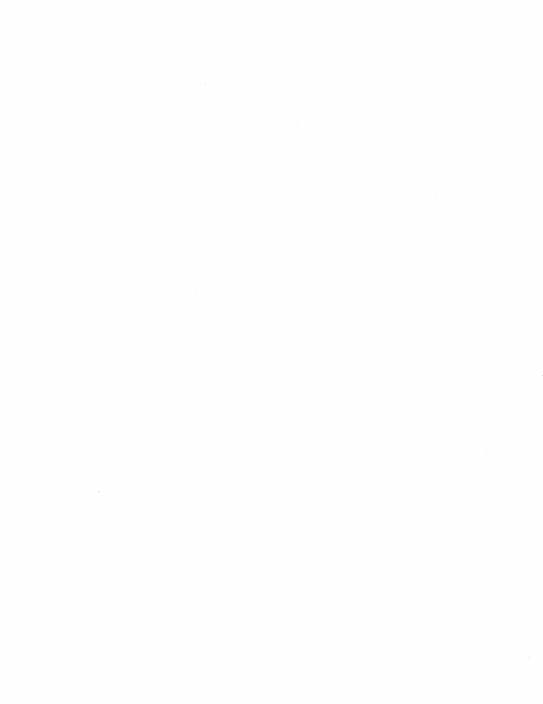$\mathcal{L}^{\text{max}}_{\text{max}}$  and  $\mathcal{L}^{\text{max}}_{\text{max}}$  $\label{eq:2.1} \frac{1}{\sqrt{2}}\int_{\mathbb{R}^3} \frac{d\mu}{\sqrt{2}} \, \frac{d\mu}{\sqrt{2}} \, \frac{d\mu}{\sqrt{2}} \, \frac{d\mu}{\sqrt{2}} \, \frac{d\mu}{\sqrt{2}} \, \frac{d\mu}{\sqrt{2}} \, \frac{d\mu}{\sqrt{2}} \, \frac{d\mu}{\sqrt{2}} \, \frac{d\mu}{\sqrt{2}} \, \frac{d\mu}{\sqrt{2}} \, \frac{d\mu}{\sqrt{2}} \, \frac{d\mu}{\sqrt{2}} \, \frac{d\mu}{\sqrt{2}} \, \frac{d\mu}{$  $\label{eq:2.1} \frac{1}{\sqrt{2}}\left(\frac{1}{\sqrt{2}}\right)^{2} \left(\frac{1}{\sqrt{2}}\right)^{2} \left(\frac{1}{\sqrt{2}}\right)^{2} \left(\frac{1}{\sqrt{2}}\right)^{2} \left(\frac{1}{\sqrt{2}}\right)^{2} \left(\frac{1}{\sqrt{2}}\right)^{2} \left(\frac{1}{\sqrt{2}}\right)^{2} \left(\frac{1}{\sqrt{2}}\right)^{2} \left(\frac{1}{\sqrt{2}}\right)^{2} \left(\frac{1}{\sqrt{2}}\right)^{2} \left(\frac{1}{\sqrt{2}}\right)^{2} \left(\$  $\label{eq:2.1} \frac{1}{\sqrt{2}}\int_{\mathbb{R}^3}\frac{1}{\sqrt{2}}\left(\frac{1}{\sqrt{2}}\right)^2\frac{1}{\sqrt{2}}\left(\frac{1}{\sqrt{2}}\right)^2\frac{1}{\sqrt{2}}\left(\frac{1}{\sqrt{2}}\right)^2\frac{1}{\sqrt{2}}\left(\frac{1}{\sqrt{2}}\right)^2\frac{1}{\sqrt{2}}\left(\frac{1}{\sqrt{2}}\right)^2\frac{1}{\sqrt{2}}\frac{1}{\sqrt{2}}\frac{1}{\sqrt{2}}\frac{1}{\sqrt{2}}\frac{1}{\sqrt{2}}\frac{1}{\sqrt{2}}$ 

 $\mathcal{L}_{\mathcal{A}}$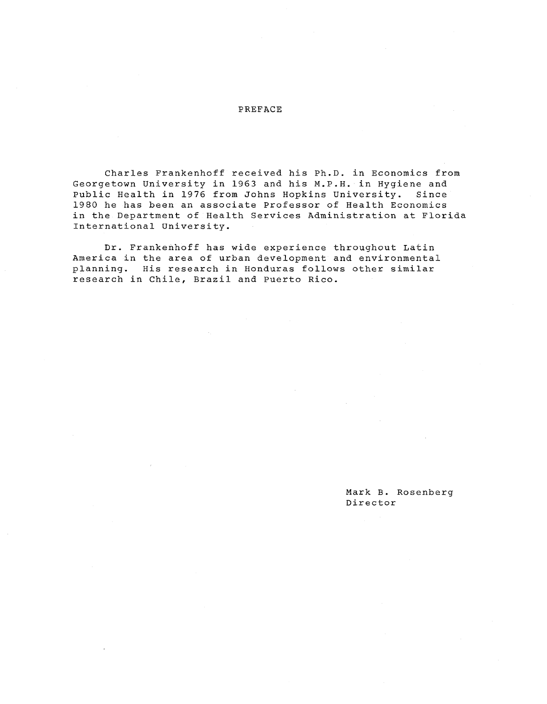#### PREFACE

Charles Frankenhoff received his Ph.D. in Economics from Georgetown University in 1963 and his M.P.H. in Hygiene and Public Health in 1976 from Johns Hopkins University. Since 1980 he has been an associate Professor of Health Economics in the Department of Health Services Administration at Florida International University.

Dr. Frankenhoff has wide experience throughout Latin America in the area of urban development and environmental planning. His research in Honduras follows other similar research in Chile, Brazil and Puerto Rico.

> Mark B. Rosenberg Director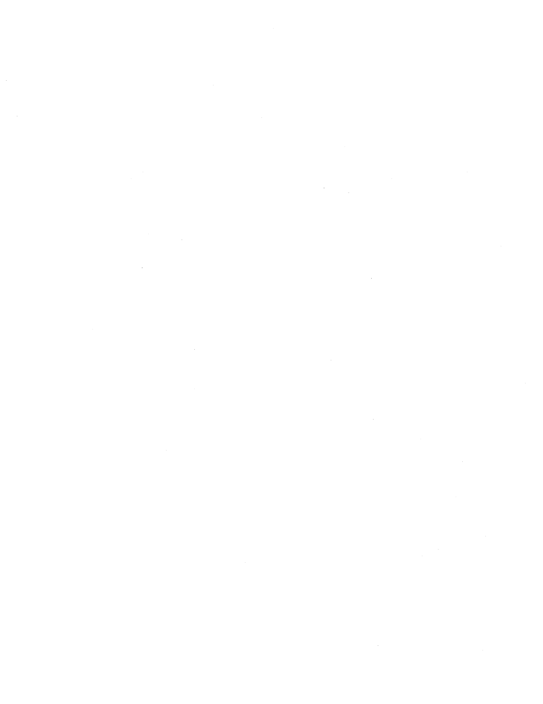$\label{eq:2.1} \frac{1}{\sqrt{2}}\sum_{i=1}^n\frac{1}{\sqrt{2}}\sum_{i=1}^n\frac{1}{\sqrt{2}}\sum_{i=1}^n\frac{1}{\sqrt{2}}\sum_{i=1}^n\frac{1}{\sqrt{2}}\sum_{i=1}^n\frac{1}{\sqrt{2}}\sum_{i=1}^n\frac{1}{\sqrt{2}}\sum_{i=1}^n\frac{1}{\sqrt{2}}\sum_{i=1}^n\frac{1}{\sqrt{2}}\sum_{i=1}^n\frac{1}{\sqrt{2}}\sum_{i=1}^n\frac{1}{\sqrt{2}}\sum_{i=1}^n\frac$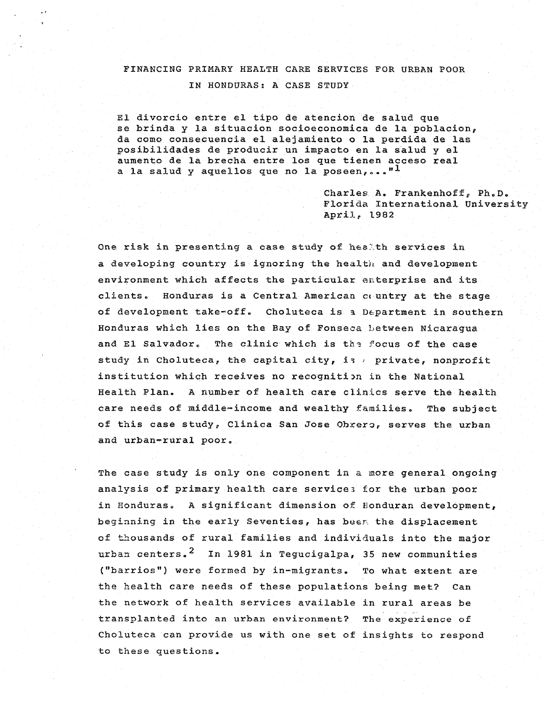FINANCING PRIMARY HEALTH CARE SERVTCES FOR URBAN POOR IN HONDURAS: A CASE STUDY

El divorcio entre el tipo de atencion de salud que se brinda y la situacion socioeconomica de la poblacion, da coma conseeuencia el alejamiento a la perdida de las gosibilidades de producir un impacts en la salud **y** el aumento de la brecha entre los que tienen acceso real a la salud y aquellos que no la poseen,..."<sup>1</sup>

> Charles A. Frankenhoff, Ph.D. Florida International University April, 1982

One risk in presenting a case study of health services in a developing country is ignoring the health and development environment which affects the particular enterprise and its clients. Honduras is a Central American ccuntry at the stage of development take-off, Choluteca is **s** Department in **southern**  Honduras which lies on the Bay of Fonseca **Letween Nicaragua** and El Salvador, The clinic which is tb? Focus of the **case**  study in Choluteca, the capital city, is a private, nonprofit institution which receives no recognition in the National Health Plan, **A** number **of** health care clinics serve **the** health care needs of middle-income and wealthy families, The subject of this case **study,** Clinics San Jose **Ohwer3, serves** the urban and urban-rural poor.

The case study is only one component in a more general ongoing analysis of primary health care service; for the urban poor in Eonduras, A significant dimension of Bonduran development, beginning in the early Seventies, has beer the displacement of thousands of rural families and individuals into the major urban centers.<sup>2</sup> In 1981 in Tegucigalpa, 35 new communities ("barrios") were formed by in-migrants, To what extent are the health care needs of these populations being met? Can the network of health services available in rural areas be transplanted into an urban enviranment? The experience of Choluteca can provide us with one set of insights to respond to these questions,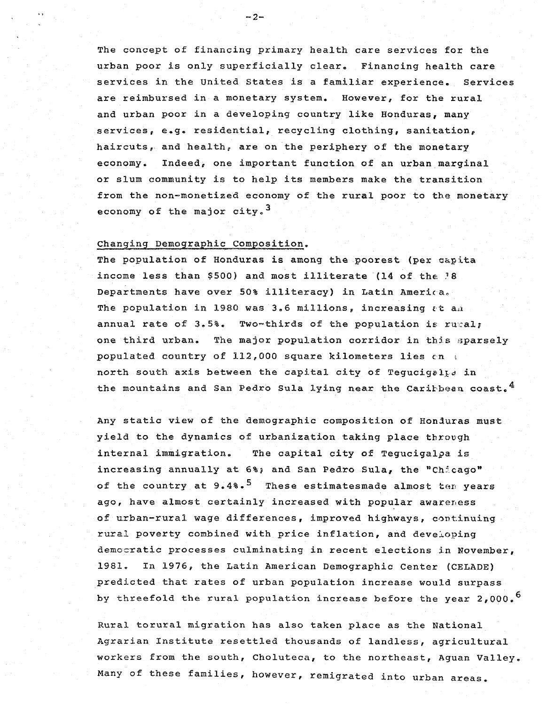The concept of financing primary health care services for the urban poar is only superficially clear, Financing health care services in the United States is a familiar experience, Services are reimbursed in a monetary system. However, for the rural and urban poar in a developing country like Honduras, many services, e,g, residential, recycling clothing, sanitation, haircuts, and health, are on the periphery of the monetary economy, Indeed, one important function **of** an urban marginal or slum community is to help its members make the transition from the non-monetized economy of the rural poor to the monetary economy of the major city, **3** 

#### Changing Demagraphic Composition,

**The** population of **Honduras is** among **the** poorest (per capita income less than \$500) and most illiterate (14 of the 18 Departments have over 50% illiteracy) in Latin America, The population in 1980 was 3.6 millions, increasing *at* an annual rate of  $3.5\%$ . Two-thirds of the population is rugal; one third **urban,** The **major** population corridor in thjs sparsely populated cauntry **of 112,000** square kilometers lies en *<sup>r</sup>* north south axis between the capital city of Tequcigalts in **the** mountains and San Pedro Sula Xying **near** the Carikbaan **coast,** 4

Any static view of the demographic composition of **Honauras must**  yield to the dynamics **sf** urbanization taking place **through**  internal immigration. The capital city of Tegucigalpa is increasing annually at 6%; and San Pedro Sula, the "Chicago" of **the** country at **9,4%.5** These estimatesmade almost *ter!* years ago, have almost certainly increased with popular awareness of urban-rural wage differences, improved highways, continuing rural poverty combined with price inflation, and deveioping democratic processes culminating in recent elections in November, 1981, Xn **1976,** the Latin American Demographic Center {CELADE} predicted that rates of urban population increase would surpass by threefold the rural population increase before the year 2,000.<sup>6</sup>

Rural torural migration has also taken place as the National Agrarian Institute resettled thousands of landless, agricultural workers from the south, Choluteca, to **the** northeast, Aguan Valley. Many of these families, however, remigrated into urban areas.

 $-2-$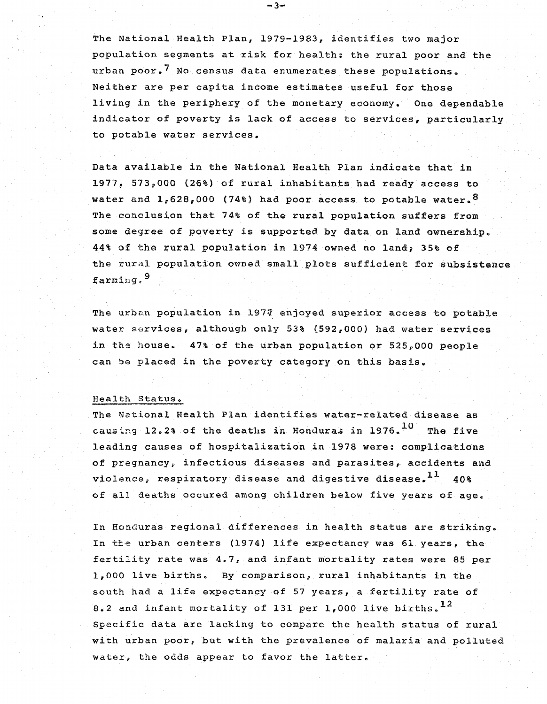The National Health Plan, 1979-1983, identifies two major population segments at risk for health: the rural poor and the urban poor.<sup>7</sup> No census data enumerates these populations. Neither are per capita income estimates useful for those living in the periphery of the monetary economy. One dependable indicator of poverty is lack of access to services, particularly to potable water services,

Data available in the National Health Plan indicate that in 1979, 573,0O(B (26%) **of** rural inhabitants had ready access **to**  water and **1,628,000 (74%)** had poor access to potable water,% The conelusion that **74%** af the rural populatiaa suffers **from**  some degree of poverty is supported by data on land **ownership,**  44% **af %he rural** population in **\$974** owned no land; 35% of **the** rural population owned small plots sufficient **EQE subsistence**  farming, **9** 

**The urbnn** popuPation **in a977 enjoyed** superior access **ta** potable water services, although only 53% (592,000) had water services in the house. 47% of the urban population or  $525,000$  people can be placed in **the** povexky category an this **basis,**  water services,<br>in the house.<br>can be placed :<br>Health Status.<br>The National He

The National Health Plan identifies water-related disease as causing 12.2% of the deaths in Honduras in 1976.  $10$  The five leading causes of hospitalization in 1978 were: complications of pregnancy, infectious diseases and parasites, accidents and violence, respiratory disease and digestive **disease.** lf **40%**  of all deaths occured among children below five years of age.

In Handuras regional differences in health status are striking, In *tke* urban centers (1974) life expectancy was 61 years, **the**  fertility rate was 4.7, and infant mortality rates were 85 per 1,000 live births, By comparison, rural inhabitants in the south had a life expectancy **of** 57 years, a fertility rate of  $8.2$  and infant mortality of 131 per 1,000 live births.<sup>12</sup> specific data are lacking to compare the health status of **xural**  with urban poor, **but** with the prevalence of malaria and polluted water, the odds appear to favor the latter,

 $-3-$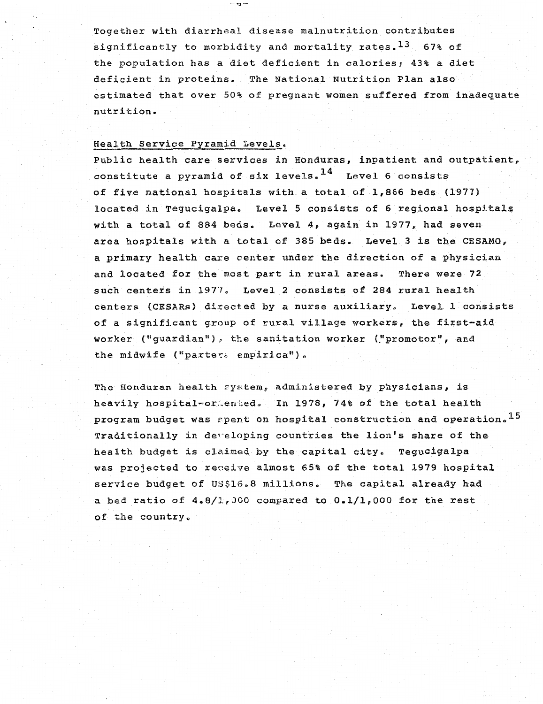Together with diarrheal disease malnutrition contribukes significantly to morbidity and mortality rates.<sup>13</sup> 67% of the population has a diet deficient in calories; 43% a diet deficient in proteins, The National Nutrition Plan also estimated that **over** 50% of pregnant women suffered from inadequate nutrition.

#### Health Service Pyramid Levels.

Public health care services in Honduras, inpatient and outpatient, constitute a pyramid of six levels.<sup>14</sup> Level 6 consists of five national hospitals with a total of  $1,866$  beds (1977) **Pscated** in Tegucigalpa, %eve1 **5** consists of 6 regional hospitals with a total of 884 beds. Level 4, again in 1977, had seven area hospitals with a total of 385 beds. Level 3 is the **CESAMO**, a primary health care center under the direction of a physician and located for the most part in rural areas, There were 72 such centers in 1977. Level 2 consists of 284 rural health centers (CESARs) directed by a nurse auxiliary, Level **1** cansists of a significant group of rural village workers, the first-aid worker ("guardian"), the sanitation worker ("promotor", and the midwife ("partera empirica").

The Honduran health system, administered by physicians, is heavily hospital-or;ented. In 1978, 74% of the total health program budget was spent on hospital construction and operation.<sup>15</sup> Traditionally in deq^elloping countries the lion's share **af** the health budget is claimed by the capital city. Tegucigalpa was projected to receive almost 65% of the total **1979** hospital service budget of US\$16.8 millions. The capital already had a bed ratio of  $4.8/1,000$  compared to  $0.1/1,000$  for the rest of the country,

 $\rightarrow -$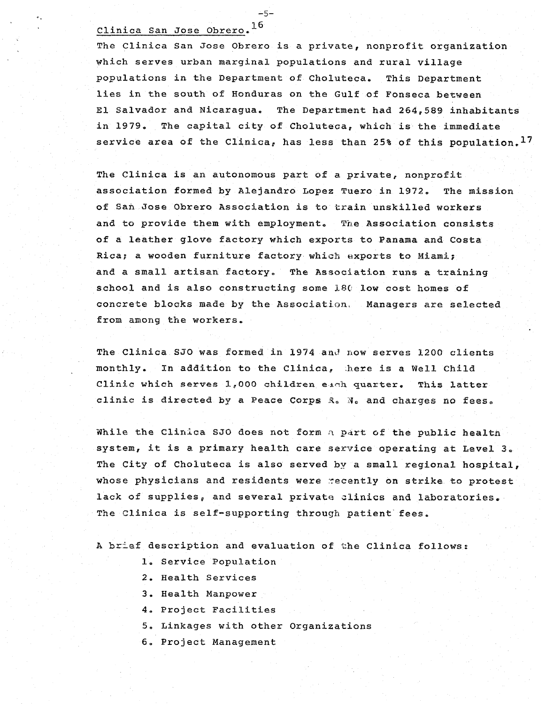# Clinica San Jose Obrero, **<sup>16</sup>**

The Clinica San Jose Obrero is a private, nonprofit organization which serves urban marginal populations and rural village populations in the Department of Choluteca, This Department lies in the south of Honduras on the Gulf of Fonseca between El Salvador and Nicaragua. The Department had 264,589 inhabitants in 1979, The capital city of Choluteca, which is the immediate service area of the Clinica, has less than 25% of this population.<sup>17</sup>

 $-5-$ 

The Clinica is an autonomous part of a private, nonprofit association formed by Alejandro Lopez Tuero in 1972. The mission of San Jose Obrero Association is to train unskilled workers and **ts** provide them with employment, **Tiie** Association consists of a leather glove factory which exports **to** Panama and **Casta**  Rica; a wooden furniture factory which exports **ta Miami;**  and a small artisan factory, **Th@** Ziss~ciation runs a **training**  school and is also constructing some 180 low cost homes of concrete blocks **made** by the Association. Managers **ara** selected from among the workers,

The elinica **SJO was** formed in **1974 an3** now serves 1200 clients monthly. In addition to the Clinica, here is a Well Child Clinic whish **serves** 1,000 **children eich quarker. This latter**  clinic is directed by a **Peace** Corps **X,** .'?, and charges **sa fees,** 

While the Clinica SJO does not form a part of the public health system, it is **a** primary health care service operating at **Level 3,**  The City of Choluteca is also served by a small regional hospital, whose physicians and residents were recently on strike to protest lack of supplies, and several private clinics and laboratories. The Clinica is self-supporting through patient **fees,** 

A brief description and evaluation of the Clinica follows:

- 1, Service Population
- **2,** Health Services
- **3.** Health Manpower
- 4, Project Facilities
- 5, Linkages with other Organizations
- 6, Project Management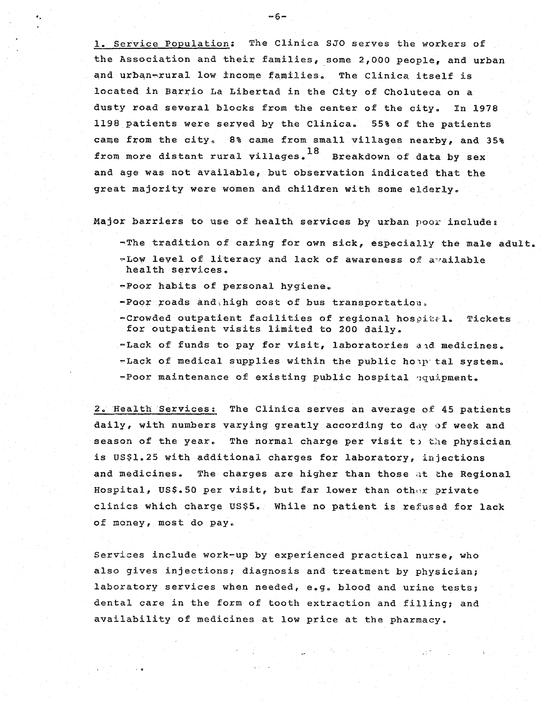1. Service Population: The Clinica SJO serves the workers **of**  the Association and their families, some 2,000 people, and urban and urban-rural low income families. The Clinica itself is located in Barrio La Libertad in the City of Choluteca on a dusty road several blocks from the center of the city. In 1978 1198 patients were served by the Clinica, 55% of the patients cave from the city, **8%** came **from** small villages nearby, and 35% from more **distank** rural villages. Breakdown of data by sex and age was not available, but observation indicated that the great majority were women and children with some elderly.

**Major barriers to** use of health services by urban **pooz** insluder

-The tradition of caring for own **sick,** especially **the** male adult, -%ow level of literacy and lack **ef** awareness of **a77ailabl,e**  health services,

**-Poor** habits of personal hygiene,

- $-$ Poor roads and, high cost of bus transportation,
- -Crowded outpatient facilities of regional hospital. Tickets for outpatient visits limited to 200 daily.
- -Lack of funds to pay for visit, laboratories and medicines.  $-$ Lack of medical supplies within the public ho;p.tal system.  $-$ Poor maintenance of existing public hospital equipment.

2, Health Services: **The** Glinica serves an **average** of 45 **patients**  daily, with numbers varying greatly according to **day** af week and season of the year. The normal charge per visit to the physician is uS\$1,25 with additional charges for laboratory, injections and medicines. The charges are higher than those at the Regional Hospital, US\$.50 per visit, but far lower than other private clinics which **charge USS5,** While **ns** patient is **refused for lack**  of maney, most do **pay,** 

Services include work-up by experienced practical nurse, who also gives injections; diagnosis and treatment by physician; laboratory services when needed, **e,g,** blood and urine tests; dental care in the form of tooth extraction and filling; and availability of medicines at low price at the pharmacy,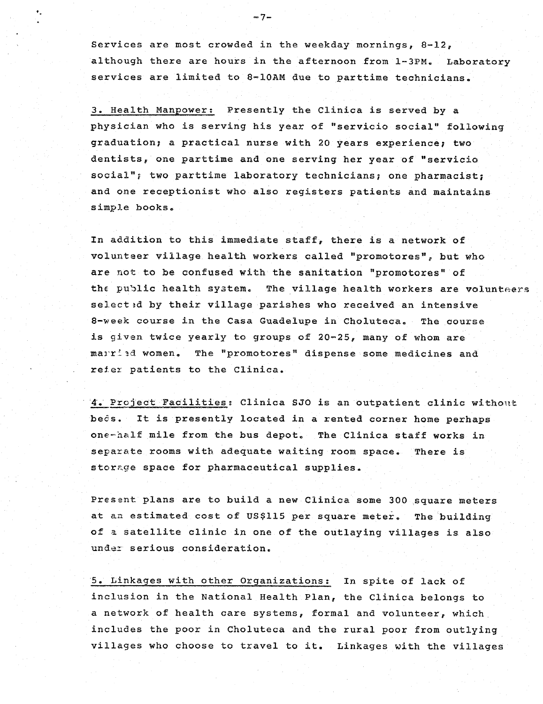Services are most crowded in the weekday mornings, 8-12, although there are hours in the afternoon from 1-3PM, Laboratory services are limited to 8-10AM due to parttime technicians.

**3.** Health Manpower: Presently the Clinica is served by a physician who is serving his year of "servicio social" following graduation; a practical nurse with **20** years experience; two dentists, one parttime and one serving her year of "servicio  $social"$ ; two parttime laboratory technicians; one pharmacist; and one receptionist who also registers patients and maintains simple **books**.

Pn addition **to** this immediata **staff,** there is a netwoxk of volunteer village health workers called "promotores", but who are not to be confused with the sanitation "promotores" of the public health system. The village health workers are volunteers selected by their village parishes who received an intensive **8-week** course in the Casa Guadelupe in Choluteca, The course is given twice yearly to groups of 20-25, many of whom are married women. The "promotores" dispense some medicines and refer patients to the Clinica.

4. Project Facilities: Clinica SJO is an outpatient clinic without<br>beds. It is presently located in a rented corner home perhaps It is presently located in a rented corner home perhaps one-hslf mile from the bus depot, The Clinica staff works in separate rooms with adequate waiting room space. There is storage space for pharmaceutical supplies.

**Presznt** plans are to build **a** new Clinica some **380** square meters at an estimated cost of US\$115 per square meter. The building of **z** satellite clinic in one **of** the ~utlaying villages is also undez serious consideration.

5. Linkages with other Organizations: In spite of lack of inclusion in the National Health Plan, the Clinica belongs to a network of health care systems, formal and volunteer, which includes the poor in Choluteca and the rural poor from outlying villages who choose to travel to it, Linkages with **the** villages

 $-7-$ 

 $\bullet$  .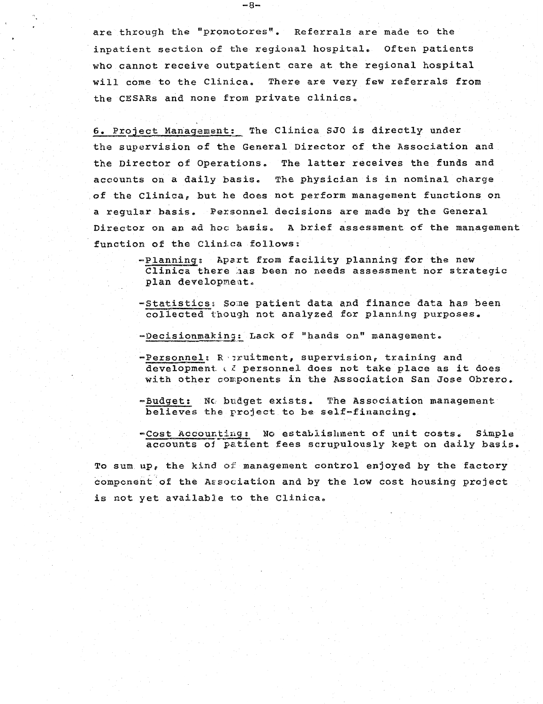are through the "promotores". Referrals are made to the inpatient section of the regional hospital. Often patients who cannot receive outpatient care at the regional hospital will come to the Clinica. There are very few referrals from the CESARs and none from private clinics,

6. Project Management: The Clinica SJO is directly under the supervision of the General Director of the Association and the Director of Operations. The latter receives the funds and accounts on a daily basis, The physician is in nominal charge of the Clinica, **but** he does not perform management functions on a regular basis, Personnel decisions **are** made by the General Director on an ad hoc basis, **A brief** assessment **sf the management**  function of the Clinica follows:

- -Planning: **Apart from** facility planning for **the** new Clinica there has been no needs assessment nor strategic plan development.
- -statistics: Saxe patient **data** and finance **data has been**  collected though not analyzed for planning purposes.
- -Decisionmaking: Lack of "hands on" management.
- -Personnel: **R** :ruitment, supervision, training and development. **c <sup>k</sup>**personnel does not take place as it does with other components in the Association San Jose Obrero.
- -Budget: **Nc budget** exists, The Association management believes **the** project to be self-financing.
- -Cast Accoucting: No estaliislment of unit **costs, Simple**  accounts of patient fees scrupulously kept on daily basis.

TO sum **upp** the kind **02** management control enjoyed by the factory component of the Association and by the low cost housing project is not yet available to the Clinica.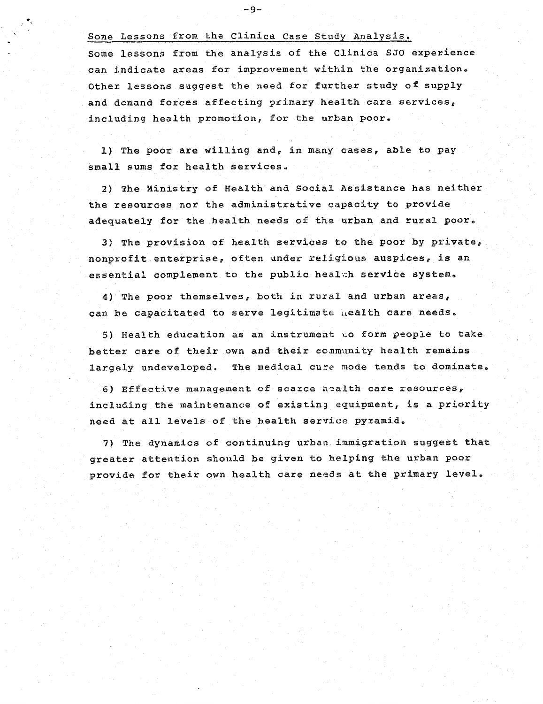#### Some Lessons from the Clinica Case Study Analysis,

 $-9-$ 

Some lessons from the analysis of the Clinica SJO experience can indicate areas for improvement within the organization, Other lessons suggest the need for further study of supply and demand forces affecting primary health care services, including health promotion, for the urban poor,

1) The poor are willing and, in many cases, able to pay small sums for health services.

2) The Ministry of Health and Social Assistance has neither the resources nor the administrative capacity to provide adequately for the health needs of the urban and rural poor.

**3) The** provision of health services ta **the** paor **by** private, nonprofit enterprise, often under religious auspices, is an essential complement to the public health service system.

4) The poor themselves, both in rural and urban areas, can be capacitated to serve legitimate mealth care needs.

5) Health education as an instrument to form people to take better care of their own and their community health remains largely undeveloped. The medical cure mode tends to dominate.

6) Effective management of scarce health care resources, including the maintenance of existing equipment, is a priority need at all levels of the health service pyramid.

7) The dynamics **QT** continuing urbaa immigration suggesk **that**  greater attention should be given **ts** helping the urban poor provide fox their own health care needs **at** the primary level,